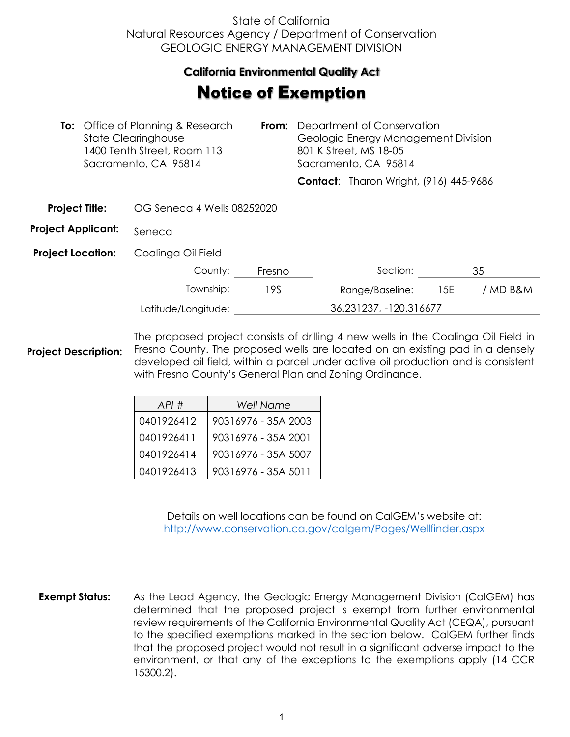## State of California Natural Resources Agency / Department of Conservation GEOLOGIC ENERGY MANAGEMENT DIVISION

## **California Environmental Quality Act**  California Environmental Quality Act

## **Notice of Exemption**

|                           |  | <b>To:</b> Office of Planning & Research<br>From:<br><b>State Clearinghouse</b><br>1400 Tenth Street, Room 113<br>Sacramento, CA 95814 |        | Department of Conservation<br>Geologic Energy Management Division<br>801 K Street, MS 18-05<br>Sacramento, CA 95814 |                                               |     |          |
|---------------------------|--|----------------------------------------------------------------------------------------------------------------------------------------|--------|---------------------------------------------------------------------------------------------------------------------|-----------------------------------------------|-----|----------|
|                           |  |                                                                                                                                        |        |                                                                                                                     | <b>Contact:</b> Tharon Wright, (916) 445-9686 |     |          |
| <b>Project Title:</b>     |  | OG Seneca 4 Wells 08252020                                                                                                             |        |                                                                                                                     |                                               |     |          |
| <b>Project Applicant:</b> |  | Seneca                                                                                                                                 |        |                                                                                                                     |                                               |     |          |
| <b>Project Location:</b>  |  | Coalinga Oil Field                                                                                                                     |        |                                                                                                                     |                                               |     |          |
|                           |  | County:                                                                                                                                | Fresno |                                                                                                                     | Section:                                      |     | 35       |
|                           |  | Township:                                                                                                                              | 19S    |                                                                                                                     | Range/Baseline:                               | 15E | / MD B&M |
|                           |  | Latitude/Longitude:                                                                                                                    |        | 36.231237, -120.316677                                                                                              |                                               |     |          |
|                           |  |                                                                                                                                        |        |                                                                                                                     |                                               |     |          |

**Project Description:** The proposed project consists of drilling 4 new wells in the Coalinga Oil Field in Fresno County. The proposed wells are located on an existing pad in a densely developed oil field, within a parcel under active oil production and is consistent with Fresno County's General Plan and Zoning Ordinance.

| API#       | <b>Well Name</b>    |
|------------|---------------------|
| 0401926412 | 90316976 - 35A 2003 |
| 0401926411 | 90316976 - 35A 2001 |
| 0401926414 | 90316976 - 35A 5007 |
| 0401926413 | 90316976 - 35A 5011 |

Details on well locations can be found on CalGEM's website at: <http://www.conservation.ca.gov/calgem/Pages/Wellfinder.aspx>

**Exempt Status:** As the Lead Agency, the Geologic Energy Management Division (CalGEM) has determined that the proposed project is exempt from further environmental review requirements of the California Environmental Quality Act (CEQA), pursuant to the specified exemptions marked in the section below. CalGEM further finds that the proposed project would not result in a significant adverse impact to the environment, or that any of the exceptions to the exemptions apply (14 CCR 15300.2).